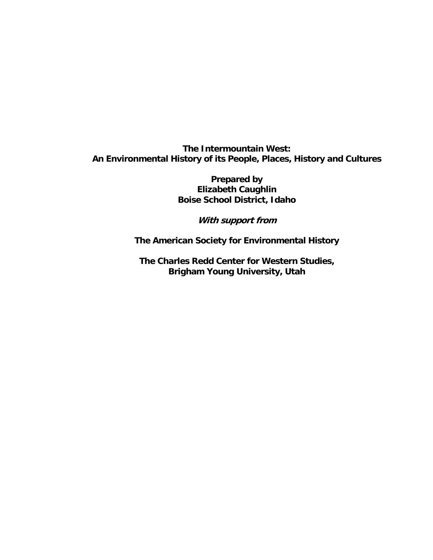**Prepared by Elizabeth Caughlin Boise School District, Idaho** 

**With support from** 

**The American Society for Environmental History** 

**The Charles Redd Center for Western Studies, Brigham Young University, Utah**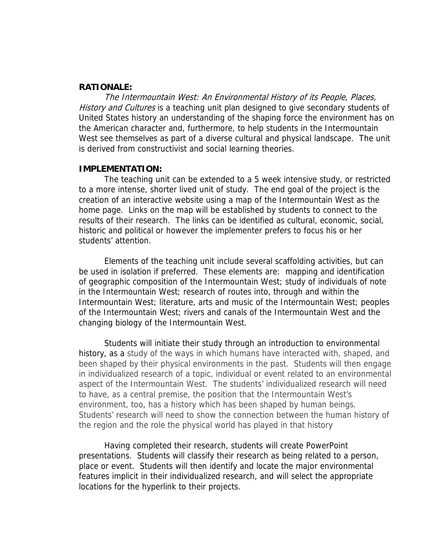#### **RATIONALE:**

The Intermountain West: An Environmental History of its People, Places, History and Cultures is a teaching unit plan designed to give secondary students of United States history an understanding of the shaping force the environment has on the American character and, furthermore, to help students in the Intermountain West see themselves as part of a diverse cultural and physical landscape. The unit is derived from constructivist and social learning theories.

#### **IMPLEMENTATION:**

 The teaching unit can be extended to a 5 week intensive study, or restricted to a more intense, shorter lived unit of study. The end goal of the project is the creation of an interactive website using a map of the Intermountain West as the home page. Links on the map will be established by students to connect to the results of their research. The links can be identified as cultural, economic, social, historic and political or however the implementer prefers to focus his or her students' attention.

Elements of the teaching unit include several scaffolding activities, but can be used in isolation if preferred. These elements are: mapping and identification of geographic composition of the Intermountain West; study of individuals of note in the Intermountain West; research of routes into, through and within the Intermountain West; literature, arts and music of the Intermountain West; peoples of the Intermountain West; rivers and canals of the Intermountain West and the changing biology of the Intermountain West.

 Students will initiate their study through an introduction to environmental history, as a study of the ways in which humans have interacted with, shaped, and been shaped by their physical environments in the past. Students will then engage in individualized research of a topic, individual or event related to an environmental aspect of the Intermountain West. The students' individualized research will need to have, as a central premise, the position that the Intermountain West's environment, too, has a history which has been shaped by human beings. Students' research will need to show the connection between the human history of the region and the role the physical world has played in that history

 Having completed their research, students will create PowerPoint presentations. Students will classify their research as being related to a person, place or event. Students will then identify and locate the major environmental features implicit in their individualized research, and will select the appropriate locations for the hyperlink to their projects.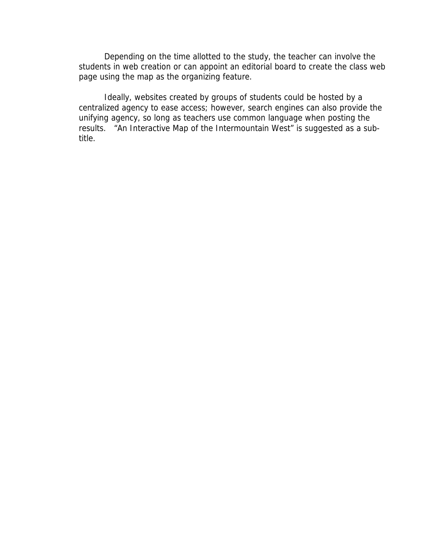Depending on the time allotted to the study, the teacher can involve the students in web creation or can appoint an editorial board to create the class web page using the map as the organizing feature.

 Ideally, websites created by groups of students could be hosted by a centralized agency to ease access; however, search engines can also provide the unifying agency, so long as teachers use common language when posting the results. "An Interactive Map of the Intermountain West" is suggested as a subtitle.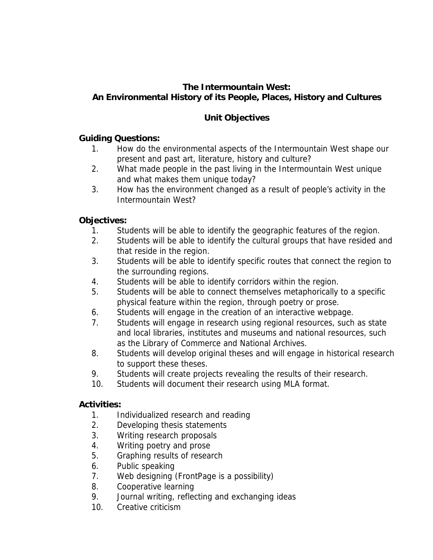# **Unit Objectives**

# **Guiding Questions:**

- 1. How do the environmental aspects of the Intermountain West shape our present and past art, literature, history and culture?
- 2. What made people in the past living in the Intermountain West unique and what makes them unique today?
- 3. How has the environment changed as a result of people's activity in the Intermountain West?

# **Objectives:**

- 1. Students will be able to identify the geographic features of the region.
- 2. Students will be able to identify the cultural groups that have resided and that reside in the region.
- 3. Students will be able to identify specific routes that connect the region to the surrounding regions.
- 4. Students will be able to identify corridors within the region.
- 5. Students will be able to connect themselves metaphorically to a specific physical feature within the region, through poetry or prose.
- 6. Students will engage in the creation of an interactive webpage.
- 7. Students will engage in research using regional resources, such as state and local libraries, institutes and museums and national resources, such as the Library of Commerce and National Archives.
- 8. Students will develop original theses and will engage in historical research to support these theses.
- 9. Students will create projects revealing the results of their research.
- 10. Students will document their research using MLA format.

# **Activities:**

- 1. Individualized research and reading
- 2. Developing thesis statements
- 3. Writing research proposals
- 4. Writing poetry and prose
- 5. Graphing results of research
- 6. Public speaking
- 7. Web designing (FrontPage is a possibility)
- 8. Cooperative learning
- 9. Journal writing, reflecting and exchanging ideas
- 10. Creative criticism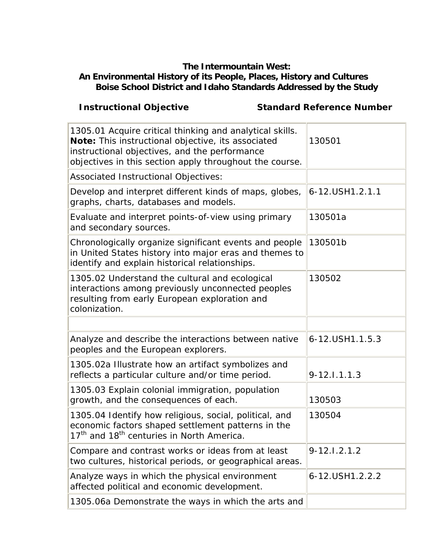#### **The Intermountain West:**

# **An Environmental History of its People, Places, History and Cultures Boise School District and Idaho Standards Addressed by the Study**

**Instructional Objective Standard Reference Number** 

| 1305.01 Acquire critical thinking and analytical skills.<br>Note: This instructional objective, its associated<br>instructional objectives, and the performance<br>objectives in this section apply throughout the course. | 130501           |
|----------------------------------------------------------------------------------------------------------------------------------------------------------------------------------------------------------------------------|------------------|
| Associated Instructional Objectives:                                                                                                                                                                                       |                  |
| Develop and interpret different kinds of maps, globes,<br>graphs, charts, databases and models.                                                                                                                            | 6-12.USH1.2.1.1  |
| Evaluate and interpret points-of-view using primary<br>and secondary sources.                                                                                                                                              | 130501a          |
| Chronologically organize significant events and people<br>in United States history into major eras and themes to<br>identify and explain historical relationships.                                                         | 130501b          |
| 1305.02 Understand the cultural and ecological<br>interactions among previously unconnected peoples<br>resulting from early European exploration and<br>colonization.                                                      | 130502           |
|                                                                                                                                                                                                                            |                  |
|                                                                                                                                                                                                                            |                  |
| Analyze and describe the interactions between native<br>peoples and the European explorers.                                                                                                                                | 6-12.USH1.1.5.3  |
| 1305.02a Illustrate how an artifact symbolizes and<br>reflects a particular culture and/or time period.                                                                                                                    | $9 - 12.1.1.1.3$ |
| 1305.03 Explain colonial immigration, population<br>growth, and the consequences of each.                                                                                                                                  | 130503           |
| 1305.04 Identify how religious, social, political, and<br>economic factors shaped settlement patterns in the<br>17 <sup>th</sup> and 18 <sup>th</sup> centuries in North America.                                          | 130504           |
| Compare and contrast works or ideas from at least<br>two cultures, historical periods, or geographical areas.                                                                                                              | $9 - 12.1.2.1.2$ |
| Analyze ways in which the physical environment<br>affected political and economic development.                                                                                                                             | 6-12.USH1.2.2.2  |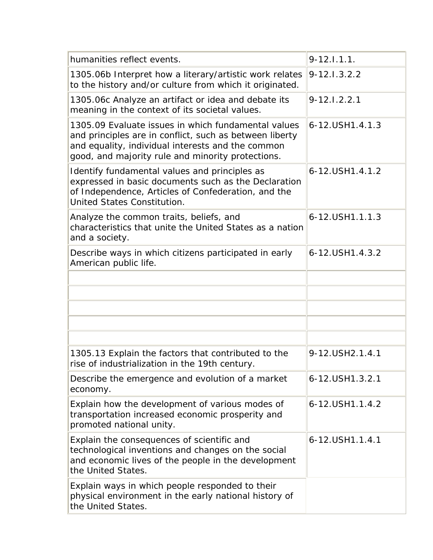| humanities reflect events.                                                                                                                                                                                               | $9 - 12.1.1.1.$  |
|--------------------------------------------------------------------------------------------------------------------------------------------------------------------------------------------------------------------------|------------------|
| 1305.06b Interpret how a literary/artistic work relates<br>to the history and/or culture from which it originated.                                                                                                       | $9 - 12.1.3.2.2$ |
| 1305.06c Analyze an artifact or idea and debate its<br>meaning in the context of its societal values.                                                                                                                    | $9 - 12.1.2.2.1$ |
| 1305.09 Evaluate issues in which fundamental values<br>and principles are in conflict, such as between liberty<br>and equality, individual interests and the common<br>good, and majority rule and minority protections. | 6-12.USH1.4.1.3  |
| Identify fundamental values and principles as<br>expressed in basic documents such as the Declaration<br>of Independence, Articles of Confederation, and the<br>United States Constitution.                              | 6-12.USH1.4.1.2  |
| Analyze the common traits, beliefs, and<br>characteristics that unite the United States as a nation<br>and a society.                                                                                                    | 6-12.USH1.1.1.3  |
| Describe ways in which citizens participated in early<br>American public life.                                                                                                                                           | 6-12.USH1.4.3.2  |
|                                                                                                                                                                                                                          |                  |
|                                                                                                                                                                                                                          |                  |
|                                                                                                                                                                                                                          |                  |
|                                                                                                                                                                                                                          |                  |
|                                                                                                                                                                                                                          |                  |
| 1305.13 Explain the factors that contributed to the<br>rise of industrialization in the 19th century.                                                                                                                    | 9-12.USH2.1.4.1  |
| Describe the emergence and evolution of a market<br>economy.                                                                                                                                                             | 6-12.USH1.3.2.1  |
| Explain how the development of various modes of<br>transportation increased economic prosperity and<br>promoted national unity.                                                                                          | 6-12.USH1.1.4.2  |
| Explain the consequences of scientific and<br>technological inventions and changes on the social<br>and economic lives of the people in the development<br>the United States.                                            | 6-12.USH1.1.4.1  |
| Explain ways in which people responded to their<br>physical environment in the early national history of<br>the United States.                                                                                           |                  |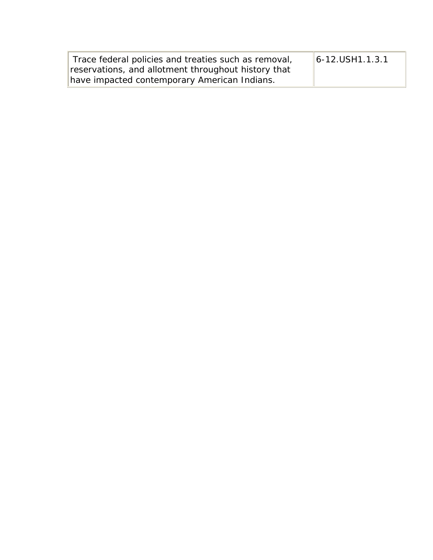| Trace federal policies and treaties such as removal, | $ 6 - 12.$ USH $1.1.3.1$ |
|------------------------------------------------------|--------------------------|
| reservations, and allotment throughout history that  |                          |
| have impacted contemporary American Indians.         |                          |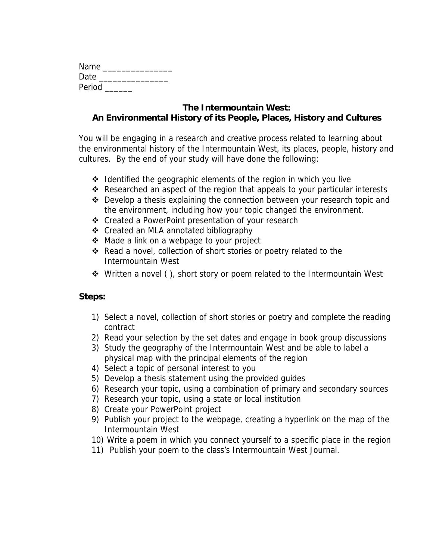| Name   |  |  |
|--------|--|--|
| Date   |  |  |
| Period |  |  |

You will be engaging in a research and creative process related to learning about the environmental history of the Intermountain West, its places, people, history and cultures. By the end of your study will have done the following:

- $\cdot$  Identified the geographic elements of the region in which you live
- Researched an aspect of the region that appeals to your particular interests
- Develop a thesis explaining the connection between your research topic and the environment, including how your topic changed the environment.
- Created a PowerPoint presentation of your research
- ❖ Created an MLA annotated bibliography
- ◆ Made a link on a webpage to your project
- Read a novel, collection of short stories or poetry related to the Intermountain West
- $\dots$  Written a novel (), short story or poem related to the Intermountain West

#### **Steps:**

- 1) Select a novel, collection of short stories or poetry and complete the reading contract
- 2) Read your selection by the set dates and engage in book group discussions
- 3) Study the geography of the Intermountain West and be able to label a physical map with the principal elements of the region
- 4) Select a topic of personal interest to you
- 5) Develop a thesis statement using the provided guides
- 6) Research your topic, using a combination of primary and secondary sources
- 7) Research your topic, using a state or local institution
- 8) Create your PowerPoint project
- 9) Publish your project to the webpage, creating a hyperlink on the map of the Intermountain West
- 10) Write a poem in which you connect yourself to a specific place in the region
- 11) Publish your poem to the class's Intermountain West Journal.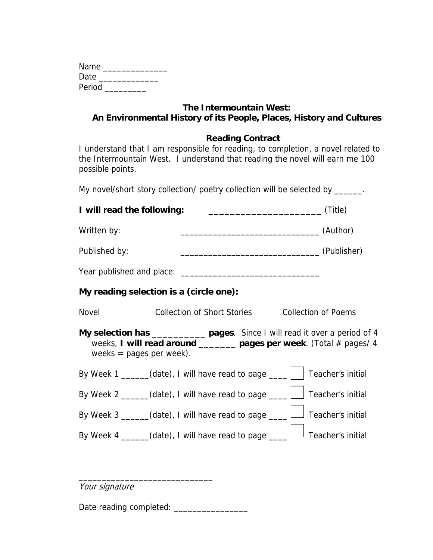| Name   |  |
|--------|--|
| Date   |  |
| Period |  |

#### **Reading Contract**

I understand that I am responsible for reading, to completion, a novel related to the Intermountain West. I understand that reading the novel will earn me 100 possible points.

My novel/short story collection/ poetry collection will be selected by \_\_\_\_\_\_.

**I will read the following: \_\_\_\_\_\_\_\_\_\_\_\_\_\_\_\_\_\_\_\_\_** (Title)

Written by: \_\_\_\_\_\_\_\_\_\_\_\_\_\_\_\_\_\_\_\_\_\_\_\_\_\_\_\_\_\_ (Author)

Published by: \_\_\_\_\_\_\_\_\_\_\_\_\_\_\_\_\_\_\_\_\_\_\_\_\_\_\_\_\_\_ (Publisher)

| Year published and place: |  |
|---------------------------|--|
|---------------------------|--|

# **My reading selection is a (circle one):**

Novel Collection of Short Stories Collection of Poems

**My selection has \_\_\_\_\_\_\_\_\_\_ pages**. Since I will read it over a period of 4 weeks, **I will read around \_\_\_\_\_\_\_ pages per week**. (Total # pages/ 4 weeks = pages per week).

| By Week 1 _____(date), I will have read to page $\Box$ Teacher's initial      |  |
|-------------------------------------------------------------------------------|--|
| By Week 2 _____(date), I will have read to page ___ $\Box$ Teacher's initial  |  |
| By Week 3 _____(date), I will have read to page ___ $\Box$ Teacher's initial  |  |
| By Week 4 _____(date), I will have read to page ____ $\Box$ Teacher's initial |  |

Your signature

Date reading completed: \_\_\_\_\_\_\_\_\_\_\_\_\_\_\_\_

\_\_\_\_\_\_\_\_\_\_\_\_\_\_\_\_\_\_\_\_\_\_\_\_\_\_\_\_\_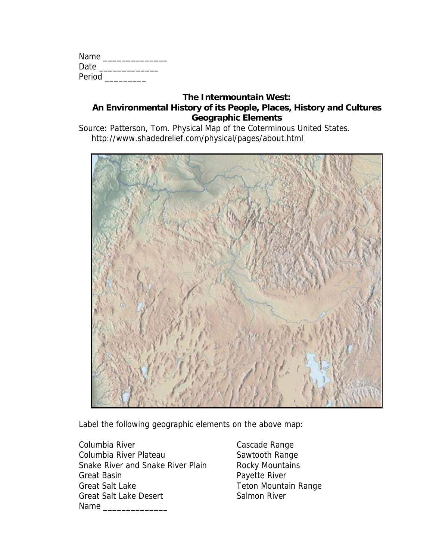| Name   |  |
|--------|--|
| Date   |  |
| Period |  |

Source: Patterson, Tom. Physical Map of the Coterminous United States. http://www.shadedrelief.com/physical/pages/about.html



Label the following geographic elements on the above map:

Columbia River **Cascade Range** Columbia River Plateau Sawtooth Range Snake River and Snake River Plain Rocky Mountains Great Basin **Payette River** Great Salt Lake Teton Mountain Range Great Salt Lake Desert Salmon River Name **and all the set of the set of the set of the set of the set of the set of the set of the set of the set of the set of the set of the set of the set of the set of the set of the set of the set of the set of the set of**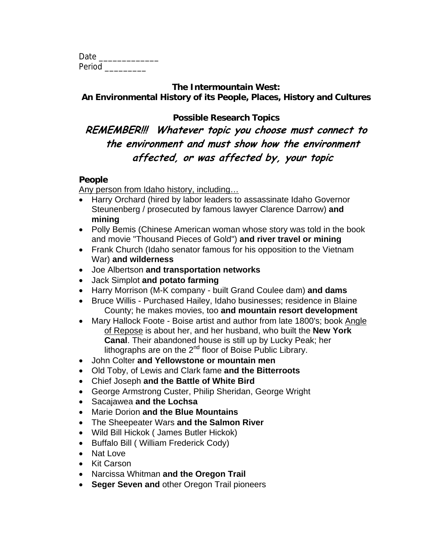| Date   |  |  |
|--------|--|--|
| Period |  |  |

**Possible Research Topics** 

# **REMEMBER!!! Whatever topic you choose must connect to the environment and must show how the environment affected, or was affected by, your topic**

# **People**

Any person from Idaho history, including…

- Harry Orchard (hired by labor leaders to assassinate Idaho Governor Steunenberg / prosecuted by famous lawyer Clarence Darrow) **and mining**
- Polly Bemis (Chinese American woman whose story was told in the book and movie "Thousand Pieces of Gold") **and river travel or mining**
- Frank Church (Idaho senator famous for his opposition to the Vietnam War) **and wilderness**
- Joe Albertson **and transportation networks**
- Jack Simplot **and potato farming**
- Harry Morrison (M-K company built Grand Coulee dam) **and dams**
- Bruce Willis Purchased Hailey, Idaho businesses; residence in Blaine County; he makes movies, too **and mountain resort development**
- Mary Hallock Foote Boise artist and author from late 1800's; book Angle of Repose is about her, and her husband, who built the **New York Canal**. Their abandoned house is still up by Lucky Peak; her lithographs are on the 2<sup>nd</sup> floor of Boise Public Library.
- John Colter **and Yellowstone or mountain men**
- Old Toby, of Lewis and Clark fame **and the Bitterroots**
- Chief Joseph **and the Battle of White Bird**
- George Armstrong Custer, Philip Sheridan, George Wright
- Sacajawea **and the Lochsa**
- Marie Dorion **and the Blue Mountains**
- The Sheepeater Wars **and the Salmon River**
- Wild Bill Hickok ( James Butler Hickok)
- Buffalo Bill ( William Frederick Cody)
- Nat Love
- Kit Carson
- Narcissa Whitman **and the Oregon Trail**
- **Seger Seven and** other Oregon Trail pioneers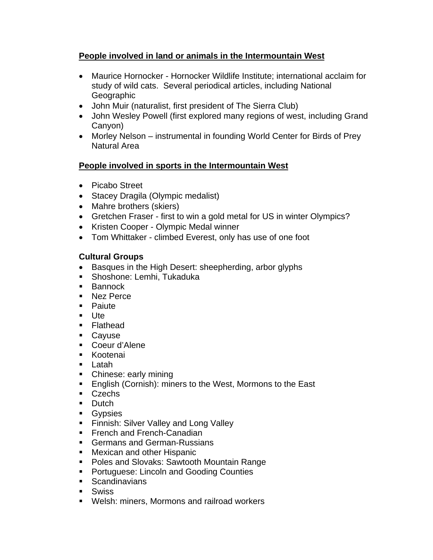# **People involved in land or animals in the Intermountain West**

- Maurice Hornocker Hornocker Wildlife Institute; international acclaim for study of wild cats. Several periodical articles, including National Geographic
- John Muir (naturalist, first president of The Sierra Club)
- John Wesley Powell (first explored many regions of west, including Grand Canyon)
- Morley Nelson instrumental in founding World Center for Birds of Prey Natural Area

# **People involved in sports in the Intermountain West**

- Picabo Street
- Stacey Dragila (Olympic medalist)
- Mahre brothers (skiers)
- Gretchen Fraser first to win a gold metal for US in winter Olympics?
- Kristen Cooper Olympic Medal winner
- Tom Whittaker climbed Everest, only has use of one foot

# **Cultural Groups**

- Basques in the High Desert: sheepherding, arbor glyphs
- **Shoshone: Lemhi, Tukaduka**
- Bannock
- Nez Perce
- **Paiute**
- Ute
- **Flathead**
- Cayuse
- Coeur d'Alene
- **Kootenai**
- Latah
- Chinese: early mining
- **English (Cornish): miners to the West, Mormons to the East**
- **Czechs**
- Dutch
- **Gypsies**
- **Finnish: Silver Valley and Long Valley**
- **French and French-Canadian**
- **Germans and German-Russians**
- **Mexican and other Hispanic**
- **Poles and Slovaks: Sawtooth Mountain Range**
- **Portuguese: Lincoln and Gooding Counties**
- **Scandinavians**
- Swiss
- Welsh: miners, Mormons and railroad workers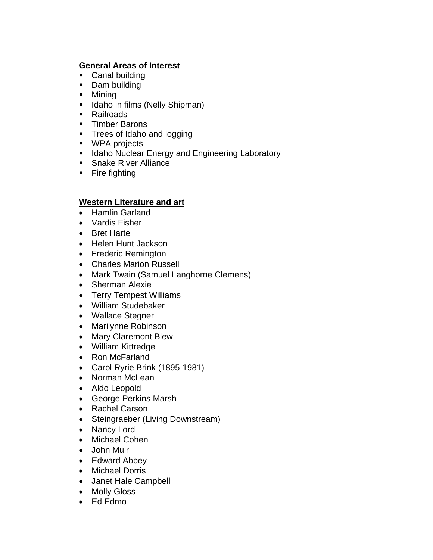#### **General Areas of Interest**

- Canal building
- Dam building
- Mining
- **If** Idaho in films (Nelly Shipman)
- **Railroads**
- **Timber Barons**
- **Trees of Idaho and logging**
- **WPA** projects
- **If Idaho Nuclear Energy and Engineering Laboratory**
- **Snake River Alliance**
- Fire fighting

#### **Western Literature and art**

- Hamlin Garland
- Vardis Fisher
- Bret Harte
- Helen Hunt Jackson
- Frederic Remington
- Charles Marion Russell
- Mark Twain (Samuel Langhorne Clemens)
- Sherman Alexie
- Terry Tempest Williams
- William Studebaker
- Wallace Stegner
- Marilynne Robinson
- Mary Claremont Blew
- William Kittredge
- Ron McFarland
- Carol Ryrie Brink (1895-1981)
- Norman McLean
- Aldo Leopold
- George Perkins Marsh
- Rachel Carson
- Steingraeber (Living Downstream)
- Nancy Lord
- Michael Cohen
- John Muir
- Edward Abbey
- Michael Dorris
- Janet Hale Campbell
- Molly Gloss
- Ed Edmo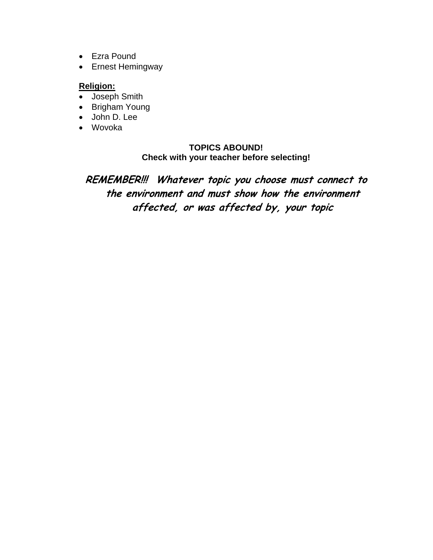- Ezra Pound
- Ernest Hemingway

# **Religion:**

- Joseph Smith
- Brigham Young
- John D. Lee
- Wovoka

#### **TOPICS ABOUND! Check with your teacher before selecting!**

**REMEMBER!!! Whatever topic you choose must connect to the environment and must show how the environment affected, or was affected by, your topic**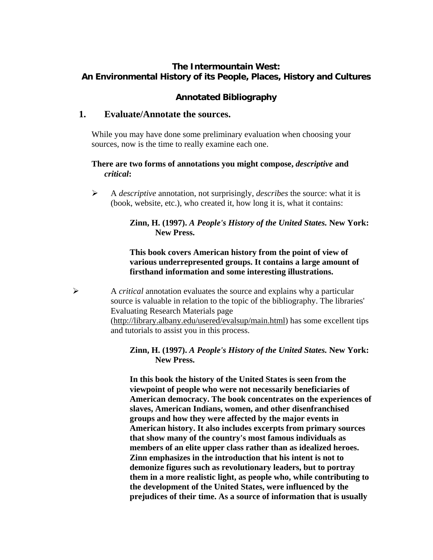# **Annotated Bibliography**

# **1. Evaluate/Annotate the sources.**

While you may have done some preliminary evaluation when choosing your sources, now is the time to really examine each one.

#### **There are two forms of annotations you might compose,** *descriptive* **and**  *critical***:**

¾ A *descriptive* annotation, not surprisingly, *describes* the source: what it is (book, website, etc.), who created it, how long it is, what it contains:

### **Zinn, H. (1997).** *A People's History of the United States.* **New York: New Press.**

### **This book covers American history from the point of view of various underrepresented groups. It contains a large amount of firsthand information and some interesting illustrations.**

¾ A *critical* annotation evaluates the source and explains why a particular source is valuable in relation to the topic of the bibliography. The libraries' Evaluating Research Materials page ([http://library.albany.edu/usered/evalsup/main.html\)](http://library.albany.edu/usered/evalsup/main.html) has some excellent tips and tutorials to assist you in this process.

### **Zinn, H. (1997).** *A People's History of the United States.* **New York: New Press.**

**In this book the history of the United States is seen from the viewpoint of people who were not necessarily beneficiaries of American democracy. The book concentrates on the experiences of slaves, American Indians, women, and other disenfranchised groups and how they were affected by the major events in American history. It also includes excerpts from primary sources that show many of the country's most famous individuals as members of an elite upper class rather than as idealized heroes. Zinn emphasizes in the introduction that his intent is not to demonize figures such as revolutionary leaders, but to portray them in a more realistic light, as people who, while contributing to the development of the United States, were influenced by the prejudices of their time. As a source of information that is usually**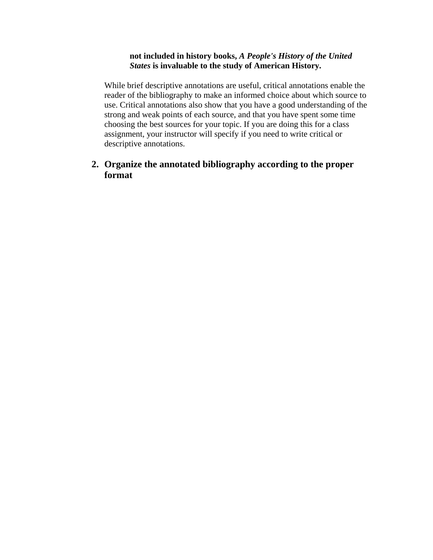#### **not included in history books,** *A People's History of the United States* **is invaluable to the study of American History.**

While brief descriptive annotations are useful, critical annotations enable the reader of the bibliography to make an informed choice about which source to use. Critical annotations also show that you have a good understanding of the strong and weak points of each source, and that you have spent some time choosing the best sources for your topic. If you are doing this for a class assignment, your instructor will specify if you need to write critical or descriptive annotations.

# **2. Organize the annotated bibliography according to the proper format**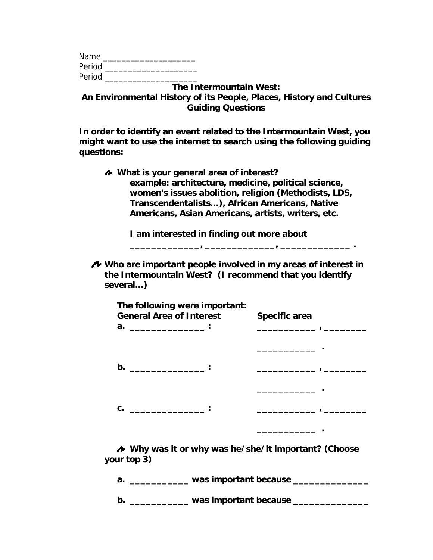| Name   |  |
|--------|--|
| Period |  |
| Period |  |

**In order to identify an event related to the Intermountain West, you might want to use the internet to search using the following guiding questions:** 

 **What is your general area of interest? example: architecture, medicine, political science, women's issues abolition, religion (Methodists, LDS, Transcendentalists…), African Americans, Native Americans, Asian Americans, artists, writers, etc.** 

**I am interested in finding out more about** 

**\_\_\_\_\_\_\_\_\_\_\_\_\_, \_\_\_\_\_\_\_\_\_\_\_\_\_, \_\_\_\_\_\_\_\_\_\_\_\_\_ .** 

**Who are important people involved in my areas of interest in the Intermountain West? (I recommend that you identify several…)** 

**your top 3)** 

**a. \_\_\_\_\_\_\_\_\_\_\_ was important because \_\_\_\_\_\_\_\_\_\_\_\_\_\_** 

**b.** \_\_\_\_\_\_\_\_\_\_\_\_\_ was important because \_\_\_\_\_\_\_\_\_\_\_\_\_\_\_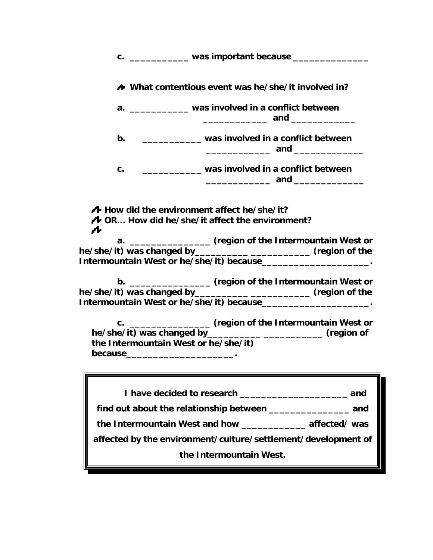| c. ______________ was important because ________________                                                                                                                                                       |
|----------------------------------------------------------------------------------------------------------------------------------------------------------------------------------------------------------------|
| A What contentious event was he/she/it involved in?                                                                                                                                                            |
| a. ____________ was involved in a conflict between                                                                                                                                                             |
| _____________ was involved in a conflict between<br>b.                                                                                                                                                         |
| ___________ was involved in a conflict between<br>C.                                                                                                                                                           |
| How did the environment affect he/she/it?<br><b>A</b> OR How did he/she/it affect the environment?                                                                                                             |
| 7<br>a. _________________ (region of the Intermountain West or<br>he/she/it) was changed by____________ __________________ (region of the<br>Intermountain West or he/she/it) because_______________________.  |
| b. __________________ (region of the Intermountain West or<br>he/she/it) was changed by____________ ________________ (region of the<br>Intermountain West or he/she/it) because_______________________.        |
| c. _________________ (region of the Intermountain West or<br>he/she/it) was changed by________________________________ (region of<br>the Intermountain West or he/she/it)<br>because__________________________ |
|                                                                                                                                                                                                                |
| the Intermountain West and how __________________ affected/ was                                                                                                                                                |
| affected by the environment/culture/settlement/development of                                                                                                                                                  |
| the Intermountain West.                                                                                                                                                                                        |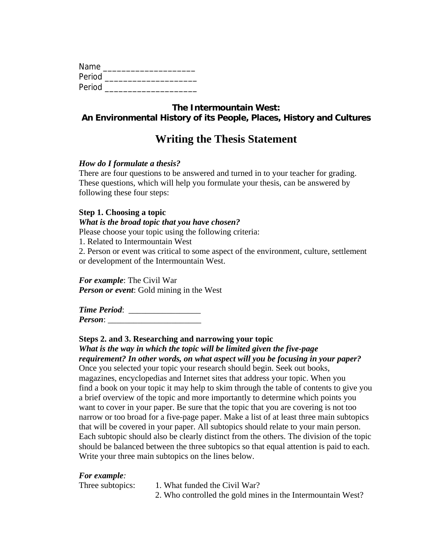| Name   |  |  |
|--------|--|--|
| Period |  |  |
| Period |  |  |

# **Writing the Thesis Statement**

#### *How do I formulate a thesis?*

There are four questions to be answered and turned in to your teacher for grading. These questions, which will help you formulate your thesis, can be answered by following these four steps:

#### **Step 1. Choosing a topic**

#### *What is the broad topic that you have chosen?*

Please choose your topic using the following criteria:

1. Related to Intermountain West

2. Person or event was critical to some aspect of the environment, culture, settlement or development of the Intermountain West.

*For example*: The Civil War *Person or event*: Gold mining in the West

*Time Period*: \_\_\_\_\_\_\_\_\_\_\_\_\_\_\_\_\_ *Person*:

# **Steps 2. and 3. Researching and narrowing your topic**  *What is the way in which the topic will be limited given the five-page*

*requirement? In other words, on what aspect will you be focusing in your paper?*  Once you selected your topic your research should begin. Seek out books, magazines, encyclopedias and Internet sites that address your topic. When you find a book on your topic it may help to skim through the table of contents to give you a brief overview of the topic and more importantly to determine which points you want to cover in your paper. Be sure that the topic that you are covering is not too narrow or too broad for a five-page paper. Make a list of at least three main subtopics that will be covered in your paper. All subtopics should relate to your main person. Each subtopic should also be clearly distinct from the others. The division of the topic should be balanced between the three subtopics so that equal attention is paid to each. Write your three main subtopics on the lines below.

#### *For example:*

Three subtopics: 1. What funded the Civil War?

2. Who controlled the gold mines in the Intermountain West?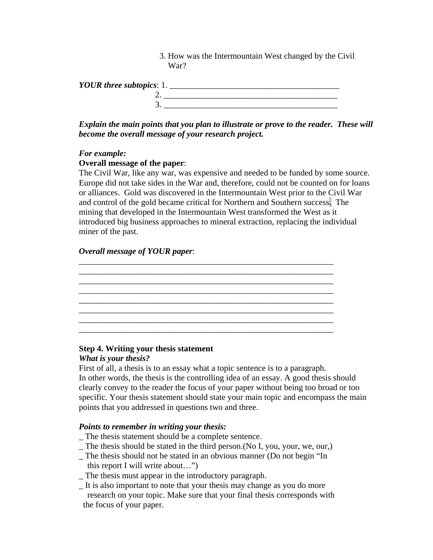3. How was the Intermountain West changed by the Civil War?

| YOUR three subtopics: 1. |  |  |
|--------------------------|--|--|
|                          |  |  |
|                          |  |  |

*Explain the main points that you plan to illustrate or prove to the reader. These will become the overall message of your research project.* 

#### *For example:*

#### **Overall message of the paper**:

The Civil War, like any war, was expensive and needed to be funded by some source. Europe did not take sides in the War and, therefore, could not be counted on for loans or alliances. Gold was discovered in the Intermountain West prior to the Civil War and control of the gold became critical for Northern and Southern success. The mining that developed in the Intermountain West transformed the West as it introduced big business approaches to mineral extraction, replacing the individual miner of the past.

\_\_\_\_\_\_\_\_\_\_\_\_\_\_\_\_\_\_\_\_\_\_\_\_\_\_\_\_\_\_\_\_\_\_\_\_\_\_\_\_\_\_\_\_\_\_\_\_\_\_\_\_\_\_\_\_\_\_\_\_ \_\_\_\_\_\_\_\_\_\_\_\_\_\_\_\_\_\_\_\_\_\_\_\_\_\_\_\_\_\_\_\_\_\_\_\_\_\_\_\_\_\_\_\_\_\_\_\_\_\_\_\_\_\_\_\_\_\_\_\_ \_\_\_\_\_\_\_\_\_\_\_\_\_\_\_\_\_\_\_\_\_\_\_\_\_\_\_\_\_\_\_\_\_\_\_\_\_\_\_\_\_\_\_\_\_\_\_\_\_\_\_\_\_\_\_\_\_\_\_\_ \_\_\_\_\_\_\_\_\_\_\_\_\_\_\_\_\_\_\_\_\_\_\_\_\_\_\_\_\_\_\_\_\_\_\_\_\_\_\_\_\_\_\_\_\_\_\_\_\_\_\_\_\_\_\_\_\_\_\_\_ \_\_\_\_\_\_\_\_\_\_\_\_\_\_\_\_\_\_\_\_\_\_\_\_\_\_\_\_\_\_\_\_\_\_\_\_\_\_\_\_\_\_\_\_\_\_\_\_\_\_\_\_\_\_\_\_\_\_\_\_ \_\_\_\_\_\_\_\_\_\_\_\_\_\_\_\_\_\_\_\_\_\_\_\_\_\_\_\_\_\_\_\_\_\_\_\_\_\_\_\_\_\_\_\_\_\_\_\_\_\_\_\_\_\_\_\_\_\_\_\_ \_\_\_\_\_\_\_\_\_\_\_\_\_\_\_\_\_\_\_\_\_\_\_\_\_\_\_\_\_\_\_\_\_\_\_\_\_\_\_\_\_\_\_\_\_\_\_\_\_\_\_\_\_\_\_\_\_\_\_\_ \_\_\_\_\_\_\_\_\_\_\_\_\_\_\_\_\_\_\_\_\_\_\_\_\_\_\_\_\_\_\_\_\_\_\_\_\_\_\_\_\_\_\_\_\_\_\_\_\_\_\_\_\_\_\_\_\_\_\_\_

#### *Overall message of YOUR paper*:



#### *What is your thesis?*

First of all, a thesis is to an essay what a topic sentence is to a paragraph. In other words, the thesis is the controlling idea of an essay. A good thesis should clearly convey to the reader the focus of your paper without being too broad or too specific. Your thesis statement should state your main topic and encompass the main points that you addressed in questions two and three.

#### *Points to remember in writing your thesis:*

- \_ The thesis statement should be a complete sentence.
- \_ The thesis should be stated in the third person.(No I, you, your, we, our,)
- \_ The thesis should not be stated in an obvious manner (Do not begin "In this report I will write about…")
- The thesis must appear in the introductory paragraph.
- \_ It is also important to note that your thesis may change as you do more research on your topic. Make sure that your final thesis corresponds with the focus of your paper.